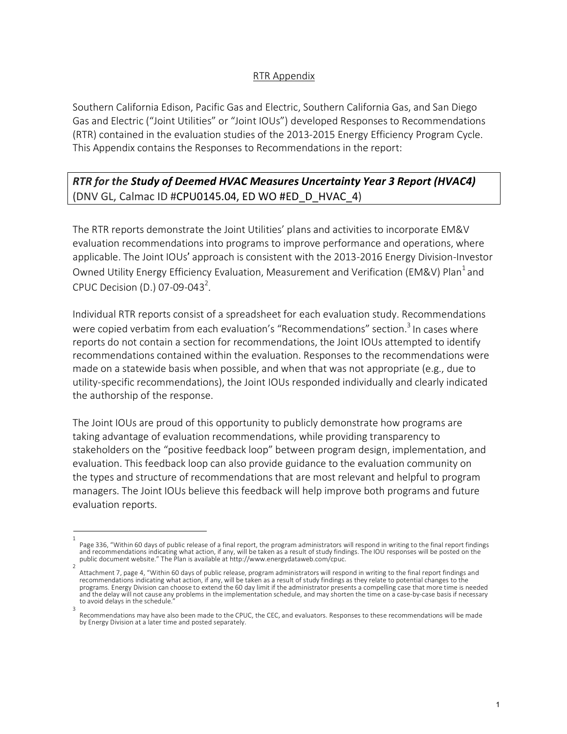## RTR Appendix

Southern California Edison, Pacific Gas and Electric, Southern California Gas, and San Diego Gas and Electric ("Joint Utilities" or "Joint IOUs") developed Responses to Recommendations (RTR) contained in the evaluation studies of the 2013-2015 Energy Efficiency Program Cycle. This Appendix contains the Responses to Recommendations in the report:

## *RTR for the Study of Deemed HVAC Measures Uncertainty Year 3 Report (HVAC4)* (DNV GL, Calmac ID #CPU0145.04, ED WO #ED\_D\_HVAC\_4)

The RTR reports demonstrate the Joint Utilities' plans and activities to incorporate EM&V evaluation recommendations into programs to improve performance and operations, where applicable. The Joint IOUs' approach is consistent with the 2013-2016 Energy Division-Investor Owned Utility Energy Efficiency Evaluation, Measurement and Verification (EM&V) Plan<sup>1</sup> and CPUC Decision (D.) 07-09-043<sup>2</sup>.

Individual RTR reports consist of a spreadsheet for each evaluation study. Recommendations were copied verbatim from each evaluation's "Recommendations" section.<sup>3</sup> In cases where reports do not contain a section for recommendations, the Joint IOUs attempted to identify recommendations contained within the evaluation. Responses to the recommendations were made on a statewide basis when possible, and when that was not appropriate (e.g., due to utility-specific recommendations), the Joint IOUs responded individually and clearly indicated the authorship of the response.

The Joint IOUs are proud of this opportunity to publicly demonstrate how programs are taking advantage of evaluation recommendations, while providing transparency to stakeholders on the "positive feedback loop" between program design, implementation, and evaluation. This feedback loop can also provide guidance to the evaluation community on the types and structure of recommendations that are most relevant and helpful to program managers. The Joint IOUs believe this feedback will help improve both programs and future evaluation reports.

<sup>1</sup>  Page 336, "Within 60 days of public release of a final report, the program administrators will respond in writing to the final report findings<br>and recommendations indicating what action, if any, will be taken as a result o public document website." The Plan is available at http://www.energydataweb.com/cpuc.

Attachment 7, page 4, "Within 60 days of public release, program administrators will respond in writing to the final report findings and recommendations indicating what action, if any, will be taken as a result of study findings as they relate to potential changes to the programs. Energy Division can choose to extend the 60 day limit if the administrator presents a compelling case that more time is needed and the delay will not cause any problems in the implementation schedule, and may shorten the time on a case-by-case basis if necessary to avoid delays in the schedule. 3

Recommendations may have also been made to the CPUC, the CEC, and evaluators. Responses to these recommendations will be made by Energy Division at a later time and posted separately.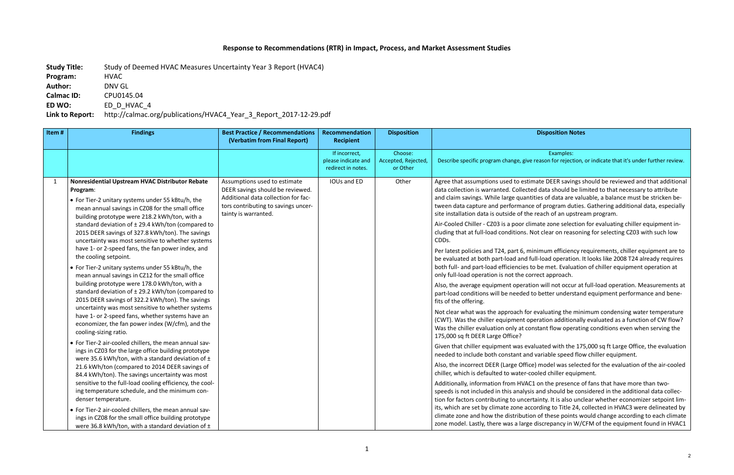## **Response to Recommendations (RTR) in Impact, Process, and Market Assessment Studies**

**Study Title:** Study of Deemed HVAC Measures Uncertainty Year 3 Report (HVAC4) **Program:** HVAC **Author:** DNV GL **Calmac ID:** CPU0145.04 **ED WO:** ED\_D\_HVAC\_4 **Link to Report:** http://calmac.org/publications/HVAC4\_Year\_3\_Report\_2017-12-29.pdf

> Examples: ason for rejection, or indicate that it's under further review.

te DEER savings should be reviewed and that additional data should be limited to that necessary to attribute es of data are valuable, a balance must be stricken bef program duties. Gathering additional data, especially ach of an upstream program.

ate zone selection for evaluating chiller equipment inclear on reasoning for selecting CZ03 with such low

mum efficiency requirements, chiller equipment are to load operation. It looks like 2008 T24 already requires be met. Evaluation of chiller equipment operation at ect approach.

will not occur at full-load operation. Measurements at petter understand equipment performance and bene-

valuating the minimum condensing water temperature ration additionally evaluated as a function of CW flow? tant flow operating conditions even when serving the

ated with the 175,000 sq ft Large Office, the evaluation ariable speed flow chiller equipment.

model was selected for the evaluation of the air-cooled led chiller equipment.

on the presence of fans that have more than twond should be considered in the additional data collecnty. It is also unclear whether economizer setpoint limding to Title 24, collected in HVAC3 were delineated by of these points would change according to each climate screpancy in W/CFM of the equipment found in HVAC1

## **Disposition Disposition Notes**

| Item#        | <b>Findings</b>                                                                                                                                                                                                                                                                                                                                                                                                                                                                                                                                                                                                                                                                                                                                                                                                                                                                                                                                                                                                                                                                                                                                                                                                                                                        | <b>Best Practice / Recommendations</b><br>(Verbatim from Final Report)                                                                                                 | Recommendation<br><b>Recipient</b>                         | <b>Disposition</b>                         |                                                                                                                                                                                                                                                                                                                                                                                                                                                                                                                                                                                                                                                                                                                                                                                                                                                                                                                                                                                                                           |
|--------------|------------------------------------------------------------------------------------------------------------------------------------------------------------------------------------------------------------------------------------------------------------------------------------------------------------------------------------------------------------------------------------------------------------------------------------------------------------------------------------------------------------------------------------------------------------------------------------------------------------------------------------------------------------------------------------------------------------------------------------------------------------------------------------------------------------------------------------------------------------------------------------------------------------------------------------------------------------------------------------------------------------------------------------------------------------------------------------------------------------------------------------------------------------------------------------------------------------------------------------------------------------------------|------------------------------------------------------------------------------------------------------------------------------------------------------------------------|------------------------------------------------------------|--------------------------------------------|---------------------------------------------------------------------------------------------------------------------------------------------------------------------------------------------------------------------------------------------------------------------------------------------------------------------------------------------------------------------------------------------------------------------------------------------------------------------------------------------------------------------------------------------------------------------------------------------------------------------------------------------------------------------------------------------------------------------------------------------------------------------------------------------------------------------------------------------------------------------------------------------------------------------------------------------------------------------------------------------------------------------------|
|              |                                                                                                                                                                                                                                                                                                                                                                                                                                                                                                                                                                                                                                                                                                                                                                                                                                                                                                                                                                                                                                                                                                                                                                                                                                                                        |                                                                                                                                                                        | If incorrect,<br>please indicate and<br>redirect in notes. | Choose:<br>Accepted, Rejected,<br>or Other | Describe specific program change, give rea                                                                                                                                                                                                                                                                                                                                                                                                                                                                                                                                                                                                                                                                                                                                                                                                                                                                                                                                                                                |
| $\mathbf{1}$ | Nonresidential Upstream HVAC Distributor Rebate<br>Program:<br>• For Tier-2 unitary systems under 55 kBtu/h, the<br>mean annual savings in CZ08 for the small office<br>building prototype were 218.2 kWh/ton, with a<br>standard deviation of $\pm$ 29.4 kWh/ton (compared to<br>2015 DEER savings of 327.8 kWh/ton). The savings<br>uncertainty was most sensitive to whether systems<br>have 1- or 2-speed fans, the fan power index, and<br>the cooling setpoint.<br>• For Tier-2 unitary systems under 55 kBtu/h, the<br>mean annual savings in CZ12 for the small office<br>building prototype were 178.0 kWh/ton, with a<br>standard deviation of ± 29.2 kWh/ton (compared to<br>2015 DEER savings of 322.2 kWh/ton). The savings<br>uncertainty was most sensitive to whether systems<br>have 1- or 2-speed fans, whether systems have an<br>economizer, the fan power index (W/cfm), and the<br>cooling-sizing ratio.<br>• For Tier-2 air-cooled chillers, the mean annual sav-<br>ings in CZ03 for the large office building prototype<br>were 35.6 kWh/ton, with a standard deviation of ±<br>21.6 kWh/ton (compared to 2014 DEER savings of<br>84.4 kWh/ton). The savings uncertainty was most<br>sensitive to the full-load cooling efficiency, the cool- | Assumptions used to estimate<br>DEER savings should be reviewed.<br>Additional data collection for fac-<br>tors contributing to savings uncer-<br>tainty is warranted. | IOUs and ED                                                | Other                                      | Agree that assumptions used to estimat<br>data collection is warranted. Collected o<br>and claim savings. While large quantitie<br>tween data capture and performance o<br>site installation data is outside of the re<br>Air-Cooled Chiller - CZ03 is a poor clima<br>cluding that at full-load conditions. Not<br>CDDs.<br>Per latest policies and T24, part 6, minir<br>be evaluated at both part-load and full-<br>both full- and part-load efficiencies to b<br>only full-load operation is not the corre<br>Also, the average equipment operation<br>part-load conditions will be needed to b<br>fits of the offering.<br>Not clear what was the approach for ev<br>(CWT). Was the chiller equipment opera<br>Was the chiller evaluation only at const<br>175,000 sq ft DEER Large Office?<br>Given that chiller equipment was evalua<br>needed to include both constant and va<br>Also, the incorrect DEER (Large Office) r<br>chiller, which is defaulted to water-cool<br>Additionally, information from HVAC1 o |
|              | ing temperature schedule, and the minimum con-<br>denser temperature.<br>• For Tier-2 air-cooled chillers, the mean annual sav-<br>ings in CZ08 for the small office building prototype<br>were 36.8 kWh/ton, with a standard deviation of ±                                                                                                                                                                                                                                                                                                                                                                                                                                                                                                                                                                                                                                                                                                                                                                                                                                                                                                                                                                                                                           |                                                                                                                                                                        |                                                            |                                            | speeds is not included in this analysis a<br>tion for factors contributing to uncertai<br>its, which are set by climate zone accord<br>climate zone and how the distribution o<br>zone model. Lastly, there was a large dis                                                                                                                                                                                                                                                                                                                                                                                                                                                                                                                                                                                                                                                                                                                                                                                               |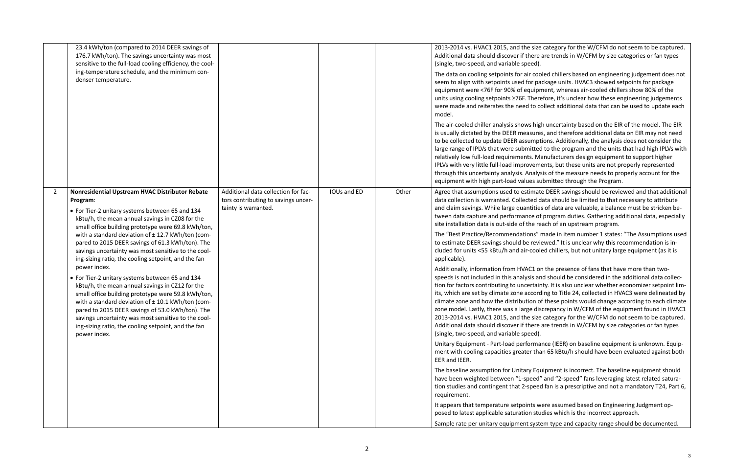e category for the W/CFM do not seem to be captured. are trends in W/CFM by size categories or fan types

oled chillers based on engineering judgement does not ackage units. HVAC3 showed setpoints for package oment, whereas air-cooled chillers show 80% of the refore, it's unclear how these engineering judgements collect additional data that can be used to update each

gh uncertainty based on the EIR of the model. The EIR is usual therefore additional data on EIR may not need ptions. Additionally, the analysis does not consider the ed to the program and the units that had high IPLVs with lanufacturers design equipment to support higher nents, but these units are not properly represented ysis of the measure needs to properly account for the submitted through the Program.

Ite DEER savings should be reviewed and that additional data should be limited to that necessary to attribute es of data are valuable, a balance must be stricken beof program duties. Gathering additional data, especially reach of an upstream program.

made in item number 1 states: "The Assumptions used iewed." It is unclear why this recommendation is inled chillers, but not unitary large equipment (as it is

on the presence of fans that have more than twoind should be considered in the additional data collecinty. It is also unclear whether economizer setpoint limrding to Title 24, collected in HVAC3 were delineated by of these points would change according to each climate iscrepancy in W/CFM of the equipment found in HVAC1 e category for the W/CFM do not seem to be captured. are trends in W/CFM by size categories or fan types

ance (IEER) on baseline equipment is unknown. Equipan 65 kBtu/h should have been evaluated against both

quipment is incorrect. The baseline equipment should d" and "2-speed" fans leveraging latest related saturaed fan is a prescriptive and not a mandatory T24, Part 6,

Were assumed based on Engineering Judgment opudies which is the incorrect approach.

tem type and capacity range should be documented.

|                | 23.4 kWh/ton (compared to 2014 DEER savings of<br>176.7 kWh/ton). The savings uncertainty was most<br>sensitive to the full-load cooling efficiency, the cool-<br>ing-temperature schedule, and the minimum con-<br>denser temperature.                                                                                                                                                                             |                                                                                                    |             |       | 2013-2014 vs. HVAC1 2015, and the size<br>Additional data should discover if there<br>(single, two-speed, and variable speed).<br>The data on cooling setpoints for air coo<br>seem to align with setpoints used for pa<br>equipment were <76F for 90% of equipr<br>units using cooling setpoints ≥76F. There<br>were made and reiterates the need to c<br>model.                                         |
|----------------|---------------------------------------------------------------------------------------------------------------------------------------------------------------------------------------------------------------------------------------------------------------------------------------------------------------------------------------------------------------------------------------------------------------------|----------------------------------------------------------------------------------------------------|-------------|-------|-----------------------------------------------------------------------------------------------------------------------------------------------------------------------------------------------------------------------------------------------------------------------------------------------------------------------------------------------------------------------------------------------------------|
|                |                                                                                                                                                                                                                                                                                                                                                                                                                     |                                                                                                    |             |       | The air-cooled chiller analysis shows hig<br>is usually dictated by the DEER measure<br>to be collected to update DEER assumpt<br>large range of IPLVs that were submitted<br>relatively low full-load requirements. M<br>IPLVs with very little full-load improvem<br>through this uncertainty analysis. Analys<br>equipment with high part-load values su                                               |
| $\overline{2}$ | Nonresidential Upstream HVAC Distributor Rebate<br>Program:<br>• For Tier-2 unitary systems between 65 and 134<br>kBtu/h, the mean annual savings in CZ08 for the                                                                                                                                                                                                                                                   | Additional data collection for fac-<br>tors contributing to savings uncer-<br>tainty is warranted. | IOUs and ED | Other | Agree that assumptions used to estimat<br>data collection is warranted. Collected c<br>and claim savings. While large quantitie<br>tween data capture and performance of<br>site installation data is out-side of the re                                                                                                                                                                                  |
|                | small office building prototype were 69.8 kWh/ton,<br>with a standard deviation of $\pm$ 12.7 kWh/ton (com-<br>pared to 2015 DEER savings of 61.3 kWh/ton). The<br>savings uncertainty was most sensitive to the cool-<br>ing-sizing ratio, the cooling setpoint, and the fan                                                                                                                                       |                                                                                                    |             |       | The "Best Practice/Recommendations"<br>to estimate DEER savings should be revi<br>cluded for units <55 kBtu/h and air-cool<br>applicable).                                                                                                                                                                                                                                                                |
|                | power index.<br>• For Tier-2 unitary systems between 65 and 134<br>kBtu/h, the mean annual savings in CZ12 for the<br>small office building prototype were 59.8 kWh/ton,<br>with a standard deviation of $\pm$ 10.1 kWh/ton (com-<br>pared to 2015 DEER savings of 53.0 kWh/ton). The<br>savings uncertainty was most sensitive to the cool-<br>ing-sizing ratio, the cooling setpoint, and the fan<br>power index. |                                                                                                    |             |       | Additionally, information from HVAC1 o<br>speeds is not included in this analysis ar<br>tion for factors contributing to uncertain<br>its, which are set by climate zone accord<br>climate zone and how the distribution o<br>zone model. Lastly, there was a large dis<br>2013-2014 vs. HVAC1 2015, and the size<br>Additional data should discover if there<br>(single, two-speed, and variable speed). |
|                |                                                                                                                                                                                                                                                                                                                                                                                                                     |                                                                                                    |             |       | Unitary Equipment - Part-load performa<br>ment with cooling capacities greater that<br>EER and IEER.                                                                                                                                                                                                                                                                                                      |
|                |                                                                                                                                                                                                                                                                                                                                                                                                                     |                                                                                                    |             |       | The baseline assumption for Unitary Equ<br>have been weighted between "1-speed'<br>tion studies and contingent that 2-speed<br>requirement.                                                                                                                                                                                                                                                               |
|                |                                                                                                                                                                                                                                                                                                                                                                                                                     |                                                                                                    |             |       | It appears that temperature setpoints w<br>posed to latest applicable saturation stu<br>Sample rate per unitary equipment syste                                                                                                                                                                                                                                                                           |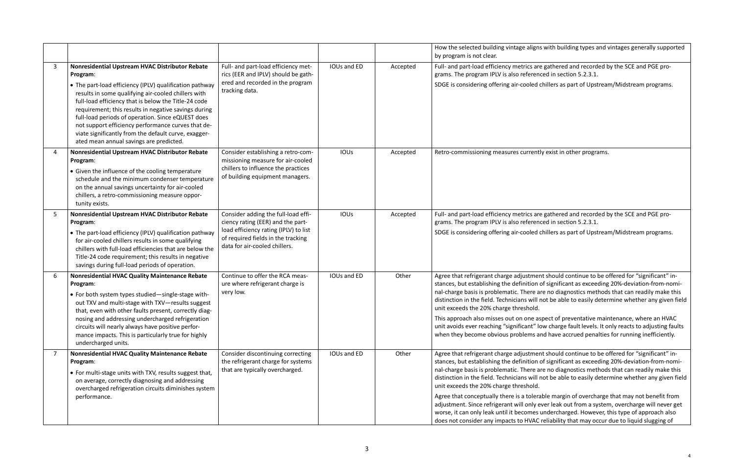ns with building types and vintages generally supported

Inter gathered and recorded by the SCE and PGE pronced in section 5.2.3.1.

I chillers as part of Upstream/Midstream programs.

tly exist in other programs.

re gathered and recorded by the SCE and PGE pro- $\mathsf{nced}$  in section 5.2.3.1.

chillers as part of Upstream/Midstream programs.

Ious and ED other agree to be offered for "significant" inof significant as exceeding 20%-deviation-from-nomiare no diagnostics methods that can readily make this not be able to easily determine whether any given field

aspect of preventative maintenance, where an HVAC low charge fault levels. It only reacts to adjusting faults and have accrued penalties for running inefficiently.

Ious and ED other agree to be offered for "significant" inof significant as exceeding 20%-deviation-from-nomiare no diagnostics methods that can readily make this not be able to easily determine whether any given field

rable margin of overcharge that may not benefit from ever leak out from a system, overcharge will never get undercharged. However, this type of approach also c reliability that may occur due to liquid slugging of

|                |                                                                                                                                                                                                                                                                                                                                                                                                                                                                                                             |                                                                                                                                                                                          |             |          | How the selected building vintage align<br>by program is not clear.                                                                                                                                                                                                                                                                                                                                   |
|----------------|-------------------------------------------------------------------------------------------------------------------------------------------------------------------------------------------------------------------------------------------------------------------------------------------------------------------------------------------------------------------------------------------------------------------------------------------------------------------------------------------------------------|------------------------------------------------------------------------------------------------------------------------------------------------------------------------------------------|-------------|----------|-------------------------------------------------------------------------------------------------------------------------------------------------------------------------------------------------------------------------------------------------------------------------------------------------------------------------------------------------------------------------------------------------------|
| 3              | Nonresidential Upstream HVAC Distributor Rebate<br>Program:<br>• The part-load efficiency (IPLV) qualification pathway<br>results in some qualifying air-cooled chillers with<br>full-load efficiency that is below the Title-24 code<br>requirement; this results in negative savings during<br>full-load periods of operation. Since eQUEST does<br>not support efficiency performance curves that de-<br>viate significantly from the default curve, exagger-<br>ated mean annual savings are predicted. | Full- and part-load efficiency met-<br>rics (EER and IPLV) should be gath-<br>ered and recorded in the program<br>tracking data.                                                         | IOUs and ED | Accepted | Full- and part-load efficiency metrics ar<br>grams. The program IPLV is also referen<br>SDGE is considering offering air-cooled                                                                                                                                                                                                                                                                       |
| 4              | Nonresidential Upstream HVAC Distributor Rebate<br>Program:<br>• Given the influence of the cooling temperature<br>schedule and the minimum condenser temperature<br>on the annual savings uncertainty for air-cooled<br>chillers, a retro-commissioning measure oppor-<br>tunity exists.                                                                                                                                                                                                                   | Consider establishing a retro-com-<br>missioning measure for air-cooled<br>chillers to influence the practices<br>of building equipment managers.                                        | <b>IOUs</b> | Accepted | Retro-commissioning measures current                                                                                                                                                                                                                                                                                                                                                                  |
| 5              | Nonresidential Upstream HVAC Distributor Rebate<br>Program:<br>• The part-load efficiency (IPLV) qualification pathway<br>for air-cooled chillers results in some qualifying<br>chillers with full-load efficiencies that are below the<br>Title-24 code requirement; this results in negative<br>savings during full-load periods of operation.                                                                                                                                                            | Consider adding the full-load effi-<br>ciency rating (EER) and the part-<br>load efficiency rating (IPLV) to list<br>of required fields in the tracking<br>data for air-cooled chillers. | IOUs        | Accepted | Full- and part-load efficiency metrics ar<br>grams. The program IPLV is also referen<br>SDGE is considering offering air-cooled                                                                                                                                                                                                                                                                       |
| 6              | <b>Nonresidential HVAC Quality Maintenance Rebate</b><br>Program:<br>• For both system types studied-single-stage with-<br>out TXV and multi-stage with TXV-results suggest<br>that, even with other faults present, correctly diag-<br>nosing and addressing undercharged refrigeration<br>circuits will nearly always have positive perfor-<br>mance impacts. This is particularly true for highly<br>undercharged units.                                                                                 | Continue to offer the RCA meas-<br>ure where refrigerant charge is<br>very low.                                                                                                          | IOUs and ED | Other    | Agree that refrigerant charge adjustme<br>stances, but establishing the definition<br>nal-charge basis is problematic. There a<br>distinction in the field. Technicians will<br>unit exceeds the 20% charge threshold.<br>This approach also misses out on one a<br>unit avoids ever reaching "significant" I<br>when they become obvious problems a                                                  |
| $\overline{7}$ | Nonresidential HVAC Quality Maintenance Rebate<br>Program:<br>• For multi-stage units with TXV, results suggest that,<br>on average, correctly diagnosing and addressing<br>overcharged refrigeration circuits diminishes system<br>performance.                                                                                                                                                                                                                                                            | Consider discontinuing correcting<br>the refrigerant charge for systems<br>that are typically overcharged.                                                                               | IOUs and ED | Other    | Agree that refrigerant charge adjustme<br>stances, but establishing the definition<br>nal-charge basis is problematic. There a<br>distinction in the field. Technicians will<br>unit exceeds the 20% charge threshold.<br>Agree that conceptually there is a tolera<br>adjustment. Since refrigerant will only a<br>worse, it can only leak until it becomes<br>does not consider any impacts to HVAC |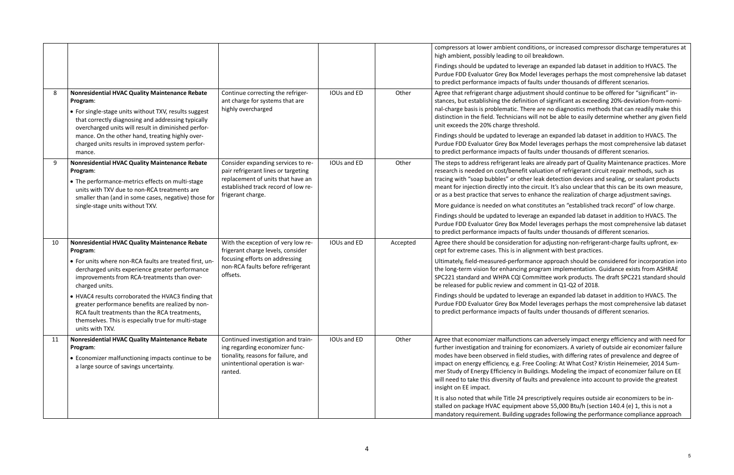ons, or increased compressor discharge temperatures at reakdown.

e an expanded lab dataset in addition to HVAC5. The leverages perhaps the most comprehensive lab dataset ts under thousands of different scenarios.

Ious and ED other and the other all refrigerant charge and the should continue to be offered for "significant" inof significant as exceeding 20%-deviation-from-nomiare no diagnostics methods that can readily make this not be able to easily determine whether any given field

e an expanded lab dataset in addition to HVAC5. The leverages perhaps the most comprehensive lab dataset ts under thousands of different scenarios.

Ious already part of Quality Maintenance practices. More uation of refrigerant circuit repair methods, such as ak detection devices and sealing, or sealant products cuit. It's also unclear that this can be its own measure, ance the realization of charge adjustment savings.

stitutes an "established track record" of low charge.

e an expanded lab dataset in addition to HVAC5. The leverages perhaps the most comprehensive lab dataset ts under thousands of different scenarios.

Ious and ED Accepted Aprention and inconsideration for adjusting non-refrigerant-charge faults upfront, exment with best practices.

te approach should be considered for incorporation into gram implementation. Guidance exists from ASHRAE hittee work products. The draft SPC221 standard should ment in Q1-Q2 of 2018.

e an expanded lab dataset in addition to HVAC5. The leverages perhaps the most comprehensive lab dataset ts under thousands of different scenarios.

an adversely impact energy efficiency and with need for conomizers. A variety of outside air economizer failure dies, with differing rates of prevalence and degree of Cooling: At What Cost? Kristin Heinemeier, 2014 Sumings. Modeling the impact of economizer failure on EE and prevalence into account to provide the greatest

It is also requires outside air economizers to be insove 55,000 Btu/h (section 140.4 (e) 1, this is not a ades following the performance compliance approach

|    |                                                                                                                                                                                                                                                                                                                                                                                                                                                                                  |                                                                                                                                                                            |             |          | compressors at lower ambient conditio<br>high ambient, possibly leading to oil bre<br>Findings should be updated to leverage<br>Purdue FDD Evaluator Grey Box Model                                                                                                                                                                                                                                                        |
|----|----------------------------------------------------------------------------------------------------------------------------------------------------------------------------------------------------------------------------------------------------------------------------------------------------------------------------------------------------------------------------------------------------------------------------------------------------------------------------------|----------------------------------------------------------------------------------------------------------------------------------------------------------------------------|-------------|----------|----------------------------------------------------------------------------------------------------------------------------------------------------------------------------------------------------------------------------------------------------------------------------------------------------------------------------------------------------------------------------------------------------------------------------|
| 8  | <b>Nonresidential HVAC Quality Maintenance Rebate</b><br>Program:<br>• For single-stage units without TXV, results suggest<br>that correctly diagnosing and addressing typically<br>overcharged units will result in diminished perfor-<br>mance. On the other hand, treating highly over-<br>charged units results in improved system perfor-<br>mance.                                                                                                                         | Continue correcting the refriger-<br>ant charge for systems that are<br>highly overcharged                                                                                 | IOUs and ED | Other    | to predict performance impacts of fault<br>Agree that refrigerant charge adjustme<br>stances, but establishing the definition<br>nal-charge basis is problematic. There a<br>distinction in the field. Technicians will<br>unit exceeds the 20% charge threshold.<br>Findings should be updated to leverage<br>Purdue FDD Evaluator Grey Box Model<br>to predict performance impacts of fault                              |
| 9  | Nonresidential HVAC Quality Maintenance Rebate<br>Program:<br>• The performance-metrics effects on multi-stage<br>units with TXV due to non-RCA treatments are<br>smaller than (and in some cases, negative) those for<br>single-stage units without TXV.                                                                                                                                                                                                                        | Consider expanding services to re-<br>pair refrigerant lines or targeting<br>replacement of units that have an<br>established track record of low re-<br>frigerant charge. | IOUs and ED | Other    | The steps to address refrigerant leaks a<br>research is needed on cost/benefit valu<br>tracing with "soap bubbles" or other lea<br>meant for injection directly into the circ<br>or as a best practice that serves to enha<br>More guidance is needed on what cons<br>Findings should be updated to leverage<br>Purdue FDD Evaluator Grey Box Model<br>to predict performance impacts of fault                             |
| 10 | Nonresidential HVAC Quality Maintenance Rebate<br>Program:<br>• For units where non-RCA faults are treated first, un-<br>dercharged units experience greater performance<br>improvements from RCA-treatments than over-<br>charged units.<br>• HVAC4 results corroborated the HVAC3 finding that<br>greater performance benefits are realized by non-<br>RCA fault treatments than the RCA treatments,<br>themselves. This is especially true for multi-stage<br>units with TXV. | With the exception of very low re-<br>frigerant charge levels, consider<br>focusing efforts on addressing<br>non-RCA faults before refrigerant<br>offsets.                 | IOUs and ED | Accepted | Agree there should be consideration fo<br>cept for extreme cases. This is in alignm<br>Ultimately, field-measured-performanc<br>the long-term vision for enhancing prog<br>SPC221 standard and WHPA CQI Comm<br>be released for public review and comn<br>Findings should be updated to leverage<br>Purdue FDD Evaluator Grey Box Model<br>to predict performance impacts of fault                                         |
| 11 | Nonresidential HVAC Quality Maintenance Rebate<br>Program:<br>• Economizer malfunctioning impacts continue to be<br>a large source of savings uncertainty.                                                                                                                                                                                                                                                                                                                       | Continued investigation and train-<br>ing regarding economizer func-<br>tionality, reasons for failure, and<br>unintentional operation is war-<br>ranted.                  | IOUs and ED | Other    | Agree that economizer malfunctions ca<br>further investigation and training for ec<br>modes have been observed in field stud<br>impact on energy efficiency, e.g. Free C<br>mer Study of Energy Efficiency in Buildi<br>will need to take this diversity of faults<br>insight on EE impact.<br>It is also noted that while Title 24 presc<br>stalled on package HVAC equipment ab<br>mandatory requirement. Building upgra |